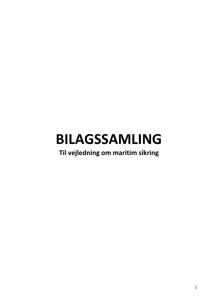# **BILAGSSAMLING**

## **Til vejledning om maritim sikring**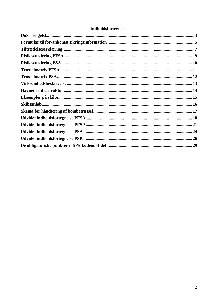## **Indholdsfortegnelse**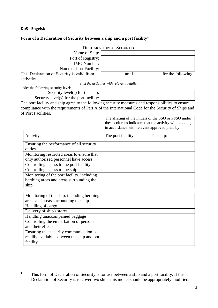## **DoS - Engelsk**

## **Form of a Declaration of Security between a ship and a port facility**<sup>1</sup>

|                                     | <b>DECLARATION OF SECURITY</b>              |
|-------------------------------------|---------------------------------------------|
| Name of Ship:                       |                                             |
| Port of Registry:                   |                                             |
| <b>IMO</b> Number:                  |                                             |
| Name of Port Facility:              |                                             |
| activities                          |                                             |
|                                     | (list the activities with relevant details) |
| under the following security levels |                                             |

Security level(s) for the ship:

Security level(s) for the port facility:

The port facility and ship agree to the following security measures and responsibilities to ensure compliance with the requirements of Part A of the International Code for the Security of Ships and of Port Facilities.

|                                            | The affixing of the initials of the SSO or PFSO under<br>these columns indicates that the activity will be done,<br>in accordance with relevant approved plan, by |           |  |  |  |
|--------------------------------------------|-------------------------------------------------------------------------------------------------------------------------------------------------------------------|-----------|--|--|--|
| Activity                                   | The port facility:                                                                                                                                                | The ship: |  |  |  |
| Ensuring the performance of all security   |                                                                                                                                                                   |           |  |  |  |
| duties                                     |                                                                                                                                                                   |           |  |  |  |
| Monitoring restricted areas to ensure that |                                                                                                                                                                   |           |  |  |  |
| only authorized personnel have access      |                                                                                                                                                                   |           |  |  |  |
| Controlling access to the port facility    |                                                                                                                                                                   |           |  |  |  |
| Controlling access to the ship             |                                                                                                                                                                   |           |  |  |  |
| Monitoring of the port facility, including |                                                                                                                                                                   |           |  |  |  |
| berthing areas and areas surrounding the   |                                                                                                                                                                   |           |  |  |  |
| ship                                       |                                                                                                                                                                   |           |  |  |  |
|                                            |                                                                                                                                                                   |           |  |  |  |

| Monitoring of the ship, including berthing  |  |
|---------------------------------------------|--|
| areas and areas surrounding the ship        |  |
| Handling of cargo                           |  |
| Delivery of ship's stores                   |  |
| Handling unaccompanied baggage              |  |
| Controlling the embarkation of persons      |  |
| and their effects                           |  |
| Ensuring that security communication is     |  |
| readily available between the ship and port |  |
| facility                                    |  |

 **1** This form of Declaration of Security is for use between a ship and a port facility. If the Declaration of Security is to cover two ships this model should be appropriately modified.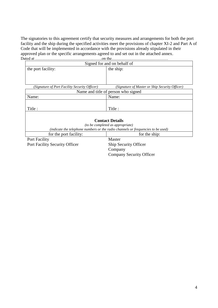The signatories to this agreement certify that security measures and arrangements for both the port facility and the ship during the specified activities meet the provisions of chapter XI-2 and Part A of Code that will be implemented in accordance with the provisions already stipulated in their approved plan or the specific arrangements agreed to and set out in the attached annex.<br>Dated at  $\ldots$ Dated at …………………………………….…….on the……………………………………

| Signed for and on behalf of                   |                                                                                  |  |  |  |  |  |
|-----------------------------------------------|----------------------------------------------------------------------------------|--|--|--|--|--|
| the port facility:                            | the ship:                                                                        |  |  |  |  |  |
|                                               |                                                                                  |  |  |  |  |  |
|                                               |                                                                                  |  |  |  |  |  |
|                                               |                                                                                  |  |  |  |  |  |
| (Signature of Port Facility Security Officer) | (Signature of Master or Ship Security Officer)                                   |  |  |  |  |  |
| Name and title of person who signed           |                                                                                  |  |  |  |  |  |
| Name:                                         | Name:                                                                            |  |  |  |  |  |
|                                               |                                                                                  |  |  |  |  |  |
|                                               | Title:                                                                           |  |  |  |  |  |
| Title :                                       |                                                                                  |  |  |  |  |  |
|                                               |                                                                                  |  |  |  |  |  |
|                                               | <b>Contact Details</b>                                                           |  |  |  |  |  |
|                                               | <i>(to be completed as appropriate)</i>                                          |  |  |  |  |  |
|                                               | (indicate the telephone numbers or the radio channels or frequencies to be used) |  |  |  |  |  |
| for the port facility:                        | for the ship:                                                                    |  |  |  |  |  |
| Port Facility                                 | Master                                                                           |  |  |  |  |  |
| <b>Port Facility Security Officer</b>         | <b>Ship Security Officer</b>                                                     |  |  |  |  |  |
|                                               | Company                                                                          |  |  |  |  |  |
|                                               | <b>Company Security Officer</b>                                                  |  |  |  |  |  |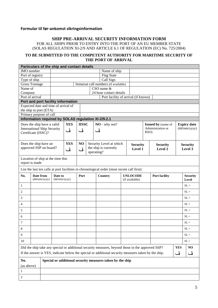## **Formular til før-ankomst sikringsinformation**

## **SHIP PRE-ARRIVAL SECURITY INFORMATION FORM**

FOR ALL SHIPS PRIOR TO ENTRY INTO THE PORT OF AN EU MEMBER STATE (SOLAS REGULATION XI-2/9 AND ARTICLE 6.1 OF REGULATION (EC) No. 725/2004)

## **TO BE SUBMITTED TO THE COMPETENT AUTHORITY FOR MARITIME SECURITY OF THE PORT OF ARRIVAL**

|                   | Particulars of the ship and contact details         |                   |            |              |            |                                                                                                     |                 |                 |                           |            |                    |
|-------------------|-----------------------------------------------------|-------------------|------------|--------------|------------|-----------------------------------------------------------------------------------------------------|-----------------|-----------------|---------------------------|------------|--------------------|
| <b>IMO</b> number |                                                     |                   |            |              |            | Name of ship                                                                                        |                 |                 |                           |            |                    |
|                   | Port of registry                                    | <b>Flag State</b> |            |              |            |                                                                                                     |                 |                 |                           |            |                    |
| Type of ship      |                                                     | Call Sign         |            |              |            |                                                                                                     |                 |                 |                           |            |                    |
|                   | <b>Gross Tonnage</b>                                |                   |            |              |            | Inmarsat call numbers (if available)                                                                |                 |                 |                           |            |                    |
| Name $of$         |                                                     |                   |            |              |            | CSO name &                                                                                          |                 |                 |                           |            |                    |
| Company           |                                                     |                   |            |              |            | 24 hour contact details                                                                             |                 |                 |                           |            |                    |
|                   | Port of arrival                                     |                   |            |              |            | Port facility of arrival (if known)                                                                 |                 |                 |                           |            |                    |
|                   | Port and port facility information                  |                   |            |              |            |                                                                                                     |                 |                 |                           |            |                    |
|                   | Expected date and time of arrival of                |                   |            |              |            |                                                                                                     |                 |                 |                           |            |                    |
|                   | the ship in port (ETA)                              |                   |            |              |            |                                                                                                     |                 |                 |                           |            |                    |
|                   | Primary purpose of call                             |                   |            |              |            |                                                                                                     |                 |                 |                           |            |                    |
|                   | Information required by SOLAS regulation XI-2/9.2.1 |                   |            |              |            |                                                                                                     |                 |                 |                           |            |                    |
|                   | Does the ship have a valid                          |                   | <b>YES</b> | <b>IISSC</b> |            | NO - why not?                                                                                       |                 |                 | <b>Issued by (name of</b> |            | <b>Expiry date</b> |
|                   | <b>International Ship Security</b>                  |                   | ئی         | ڦ            | ڦ          |                                                                                                     |                 |                 | Administration or         |            | (dd/mm/yyyy)       |
|                   | Certificate (ISSC)?                                 |                   |            |              |            |                                                                                                     |                 |                 | RSO)                      |            |                    |
|                   |                                                     |                   |            |              |            |                                                                                                     |                 |                 |                           |            |                    |
|                   | Does the ship have an                               |                   | <b>YES</b> | NO           |            | Security Level at which                                                                             |                 | <b>Security</b> | <b>Security</b>           |            | <b>Security</b>    |
|                   | approved SSP on board?                              |                   | ڤ          | ئُ           |            | the ship is currently                                                                               |                 | Level 1         | Level 2                   |            | Level 3            |
|                   |                                                     |                   |            |              | operating? |                                                                                                     |                 |                 |                           |            |                    |
|                   |                                                     |                   |            |              |            |                                                                                                     |                 |                 |                           |            |                    |
|                   | Location of ship at the time this<br>report is made |                   |            |              |            |                                                                                                     |                 |                 |                           |            |                    |
|                   |                                                     |                   |            |              |            |                                                                                                     |                 |                 |                           |            |                    |
|                   |                                                     |                   |            |              |            | List the last ten calls at port facilities in chronological order (most recent call first):         |                 |                 |                           |            |                    |
| No.               | Date from                                           | Date to           |            | Port         |            | Country                                                                                             | <b>UNLOCODE</b> |                 | <b>Port facility</b>      |            | <b>Security</b>    |
|                   | (dd/mm/yyyy)                                        | (dd/mm/yyyy)      |            |              |            |                                                                                                     | (if available)  |                 |                           |            | Level              |
| $\mathbf{1}$      |                                                     |                   |            |              |            |                                                                                                     |                 |                 |                           |            | $SL =$             |
|                   |                                                     |                   |            |              |            |                                                                                                     |                 |                 |                           |            |                    |
|                   |                                                     |                   |            |              |            |                                                                                                     |                 |                 |                           |            | $SL =$             |
| 2<br>3            |                                                     |                   |            |              |            |                                                                                                     |                 |                 |                           |            | $SL =$             |
| 4                 |                                                     |                   |            |              |            |                                                                                                     |                 |                 |                           |            | $SL =$             |
| 5                 |                                                     |                   |            |              |            |                                                                                                     |                 |                 |                           |            | $SL =$             |
| 6                 |                                                     |                   |            |              |            |                                                                                                     |                 |                 |                           |            | $SL =$             |
| 7                 |                                                     |                   |            |              |            |                                                                                                     |                 |                 |                           |            | $SL =$             |
|                   |                                                     |                   |            |              |            |                                                                                                     |                 |                 |                           |            | $\mathrm{SL} =$    |
| 8<br>9            |                                                     |                   |            |              |            |                                                                                                     |                 |                 |                           |            | $SL =$             |
| 10                |                                                     |                   |            |              |            |                                                                                                     |                 |                 |                           |            | $SL =$             |
|                   |                                                     |                   |            |              |            |                                                                                                     |                 |                 |                           |            | N <sub>O</sub>     |
|                   |                                                     |                   |            |              |            | Did the ship take any special or additional security measures, beyond those in the approved SSP?    |                 |                 |                           | <b>YES</b> |                    |
|                   |                                                     |                   |            |              |            | If the answer is YES, indicate below the special or additional security measures taken by the ship. |                 |                 |                           | ڦ          | ڦ                  |
| No.               |                                                     |                   |            |              |            | Special or additional security measures taken by the ship                                           |                 |                 |                           |            |                    |
| (as above)        |                                                     |                   |            |              |            |                                                                                                     |                 |                 |                           |            |                    |
| 1                 |                                                     |                   |            |              |            |                                                                                                     |                 |                 |                           |            |                    |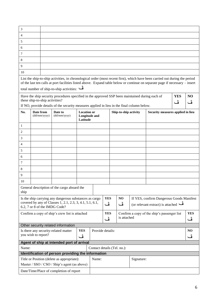| 3                                                                                                            |                                         |                                                                                                     |                                                                                                                    |            |                             |                  |  |                      |                                   |                                                                                                                                                                                                                                                             |   |                  |
|--------------------------------------------------------------------------------------------------------------|-----------------------------------------|-----------------------------------------------------------------------------------------------------|--------------------------------------------------------------------------------------------------------------------|------------|-----------------------------|------------------|--|----------------------|-----------------------------------|-------------------------------------------------------------------------------------------------------------------------------------------------------------------------------------------------------------------------------------------------------------|---|------------------|
| 4                                                                                                            |                                         |                                                                                                     |                                                                                                                    |            |                             |                  |  |                      |                                   |                                                                                                                                                                                                                                                             |   |                  |
| 5                                                                                                            |                                         |                                                                                                     |                                                                                                                    |            |                             |                  |  |                      |                                   |                                                                                                                                                                                                                                                             |   |                  |
| 6                                                                                                            |                                         |                                                                                                     |                                                                                                                    |            |                             |                  |  |                      |                                   |                                                                                                                                                                                                                                                             |   |                  |
| 7                                                                                                            |                                         |                                                                                                     |                                                                                                                    |            |                             |                  |  |                      |                                   |                                                                                                                                                                                                                                                             |   |                  |
| 8                                                                                                            |                                         |                                                                                                     |                                                                                                                    |            |                             |                  |  |                      |                                   |                                                                                                                                                                                                                                                             |   |                  |
| 9                                                                                                            |                                         |                                                                                                     |                                                                                                                    |            |                             |                  |  |                      |                                   |                                                                                                                                                                                                                                                             |   |                  |
| 10                                                                                                           |                                         |                                                                                                     |                                                                                                                    |            |                             |                  |  |                      |                                   |                                                                                                                                                                                                                                                             |   |                  |
|                                                                                                              |                                         |                                                                                                     | total number of ship-to-ship activities:                                                                           |            |                             |                  |  |                      |                                   | List the ship-to-ship activities, in chronological order (most recent first), which have been carried out during the period<br>of the last ten calls at port facilities listed above. Expand table below or continue on separate page if necessary - insert |   |                  |
| Have the ship security procedures specified in the approved SSP been maintained during each of<br><b>YES</b> |                                         |                                                                                                     |                                                                                                                    |            |                             |                  |  |                      | N <sub>O</sub>                    |                                                                                                                                                                                                                                                             |   |                  |
|                                                                                                              | these ship-to-ship activities?          |                                                                                                     |                                                                                                                    |            |                             |                  |  |                      |                                   |                                                                                                                                                                                                                                                             | ڦ | ڦ                |
|                                                                                                              |                                         |                                                                                                     | If NO, provide details of the security measures applied in lieu in the final column below.                         |            |                             |                  |  |                      |                                   |                                                                                                                                                                                                                                                             |   |                  |
| No.                                                                                                          | Date from<br>(dd/mm/yyyy)               | <b>Location or</b><br>Ship-to-ship activity<br>Date to<br>(dd/mm/yyyy)<br>Longitude and<br>Latitude |                                                                                                                    |            |                             |                  |  |                      | Security measures applied in lieu |                                                                                                                                                                                                                                                             |   |                  |
| $\mathbf{1}$                                                                                                 |                                         |                                                                                                     |                                                                                                                    |            |                             |                  |  |                      |                                   |                                                                                                                                                                                                                                                             |   |                  |
| $\overline{c}$                                                                                               |                                         |                                                                                                     |                                                                                                                    |            |                             |                  |  |                      |                                   |                                                                                                                                                                                                                                                             |   |                  |
| 3                                                                                                            |                                         |                                                                                                     |                                                                                                                    |            |                             |                  |  |                      |                                   |                                                                                                                                                                                                                                                             |   |                  |
| 4                                                                                                            |                                         |                                                                                                     |                                                                                                                    |            |                             |                  |  |                      |                                   |                                                                                                                                                                                                                                                             |   |                  |
| 5                                                                                                            |                                         |                                                                                                     |                                                                                                                    |            |                             |                  |  |                      |                                   |                                                                                                                                                                                                                                                             |   |                  |
| 6                                                                                                            |                                         |                                                                                                     |                                                                                                                    |            |                             |                  |  |                      |                                   |                                                                                                                                                                                                                                                             |   |                  |
| 7                                                                                                            |                                         |                                                                                                     |                                                                                                                    |            |                             |                  |  |                      |                                   |                                                                                                                                                                                                                                                             |   |                  |
| 8                                                                                                            |                                         |                                                                                                     |                                                                                                                    |            |                             |                  |  |                      |                                   |                                                                                                                                                                                                                                                             |   |                  |
| 9                                                                                                            |                                         |                                                                                                     |                                                                                                                    |            |                             |                  |  |                      |                                   |                                                                                                                                                                                                                                                             |   |                  |
| 10                                                                                                           |                                         |                                                                                                     |                                                                                                                    |            |                             |                  |  |                      |                                   |                                                                                                                                                                                                                                                             |   |                  |
| ship                                                                                                         |                                         |                                                                                                     | General description of the cargo aboard the                                                                        |            |                             |                  |  |                      |                                   |                                                                                                                                                                                                                                                             |   |                  |
|                                                                                                              | 6.2, 7 or 8 of the IMDG Code?           |                                                                                                     | Is the ship carrying any dangerous substances as cargo<br>covered by any of Classes 1, 2.1, 2.3, 3, 4.1, 5.1, 6.1, |            |                             | <b>YES</b><br>ڦ  |  | N <sub>O</sub><br>ئُ |                                   | If YES, confirm Dangerous Goods Manifest<br>(or relevant extract) is attached $\ddot{\bullet}$                                                                                                                                                              |   |                  |
|                                                                                                              |                                         |                                                                                                     | Confirm a copy of ship's crew list is attached                                                                     |            |                             | <b>YES</b><br>ئُ |  | is attached          |                                   | Confirm a copy of the ship's passenger list                                                                                                                                                                                                                 |   | <b>YES</b><br>ئی |
|                                                                                                              |                                         |                                                                                                     | Other security related information                                                                                 |            |                             |                  |  |                      |                                   |                                                                                                                                                                                                                                                             |   |                  |
|                                                                                                              |                                         |                                                                                                     | Is there any security-related matter                                                                               | <b>YES</b> | Provide details:            |                  |  |                      |                                   |                                                                                                                                                                                                                                                             |   | N <sub>O</sub>   |
|                                                                                                              | you wish to report?                     |                                                                                                     |                                                                                                                    | ڦ          |                             |                  |  |                      |                                   |                                                                                                                                                                                                                                                             |   | ڤ                |
|                                                                                                              |                                         |                                                                                                     | Agent of ship at intended port of arrival                                                                          |            |                             |                  |  |                      |                                   |                                                                                                                                                                                                                                                             |   |                  |
| Name:                                                                                                        |                                         |                                                                                                     |                                                                                                                    |            | Contact details (Tel. no.): |                  |  |                      |                                   |                                                                                                                                                                                                                                                             |   |                  |
|                                                                                                              |                                         |                                                                                                     | Identification of person providing the information                                                                 |            |                             |                  |  |                      |                                   |                                                                                                                                                                                                                                                             |   |                  |
|                                                                                                              |                                         |                                                                                                     | Title or Position (delete as appropriate):<br>Master / SSO / CSO / Ship's agent (as above)                         |            | Name:                       |                  |  |                      | Signature:                        |                                                                                                                                                                                                                                                             |   |                  |
|                                                                                                              | Date/Time/Place of completion of report |                                                                                                     |                                                                                                                    |            |                             |                  |  |                      |                                   |                                                                                                                                                                                                                                                             |   |                  |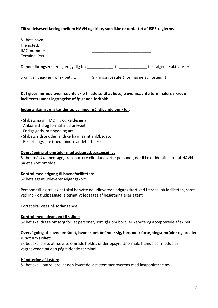## **Tiltrædelseserklæring mellem HAVN og skibe, som ikke er omfattet af ISPS-reglerne.**

| Skibets navn:<br>Hjemsted:<br>IMO-nummer:<br>Terminal (er) |                                            |  |
|------------------------------------------------------------|--------------------------------------------|--|
| Sikringsniveau(er) for skibet: 1                           | Sikringsniveau(er) for havnefaciliteten: 1 |  |

## **Det gives hermed ovennævnte skib tilladelse til at besejle ovennævnte terminalers sikrede faciliteter under iagttagelse af følgende forhold:**

#### <span id="page-6-0"></span>**Inden ankomst ønskes der oplysninger på følgende punkter**:

- Skibets navn, IMO nr. og kaldesignal
- Ankomsttid og formål med anløbet
- Farligt gods, mængde og art
- Skibets sidste udenlandske havn samt anløbsdato
- Besætningsliste (med mindre andet aftales)

#### **Overvågning af områder med adgangsbegrænsning**:

Skibet må *ikke* medtage, transportere eller landsætte personer, der ikke er identificeret af HAVN på et sikret område.

#### **Kontrol med adgang til havnefaciliteten**:

Skibets agent udleverer adgangskort.

Personer til og fra skibet skal benytte de udleverede adgangskort ved færdsel på faciliteten, samt ved ind - og udpassage, alternativt ledsages af besætning eller agent.

Kortet skal vises på forlangende.

## **Kontrol med adgangen til skibet**:

Skibet skal drage omsorg for, at personer, som går om bord, er kendte og accepterede af skibet.

## **Overvågning af havneområdet, hvor skibet befinder sig, herunder fortøjningsområder og arealer rundt om skibet**:

Skibet skal sikre, at nævnte område holdes under opsyn. Unormale hændelser meddeles vagthavende på den pågældende terminal.

## **Håndtering af lasten**:

Skibet skal kontrollere, at den leverede last stemmer overens med lastpapirerne mv.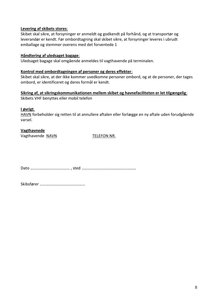## **Levering af skibets stores**:

Skibet skal sikre, at forsyninger er anmeldt og godkendt på forhånd, og at transportør og leverandør er kendt. Før ombordtagning skal skibet sikre, at forsyninger leveres i ubrudt emballage og stemmer overens med det forventede 1

## **Håndtering af uledsaget bagage**:

Uledsaget bagage skal omgående anmeldes til vagthavende på terminalen.

## **Kontrol med ombordtagningen af personer og deres effekter**:

Skibet skal sikre, at der ikke kommer uvedkomne personer ombord, og at de personer, der tages ombord, er identificeret og deres formål er kendt.

**Sikring af, at sikringskommunikationen mellem skibet og havnefaciliteten er let tilgængelig**: Skibets VHF benyttes eller mobil telefon

## **I øvrigt**.

HAVN forbeholder sig retten til at annullere aftalen eller forlægge en ny aftale uden forudgående varsel.

## **Vagthavnede**

Vagthavende NAVN TELEFON NR.

Dato ………………………………… , sted ………………………………………………

Skibsfører ………………………………………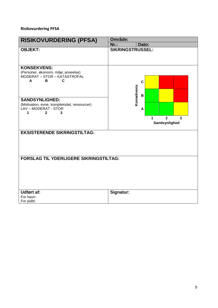## **Risikovurdering PFSA**

| <b>RISIKOVURDERING (PFSA)</b>                                                                                                                                                                          | Område:                                   |  |  |  |  |  |
|--------------------------------------------------------------------------------------------------------------------------------------------------------------------------------------------------------|-------------------------------------------|--|--|--|--|--|
|                                                                                                                                                                                                        | $Nr.$ :<br>Dato:                          |  |  |  |  |  |
| <b>OBJEKT:</b>                                                                                                                                                                                         | <b>SIKRINGSTRUSSEL:</b>                   |  |  |  |  |  |
| <b>KONSEKVENS:</b><br>(Personer, økonomi, miljø, anseelse)<br>MODERAT - STOR - KATASTROFAL<br>A<br>В<br>C<br><b>SANDSYNLIGHED:</b><br>(Motivation, evne, kompleksitet, ressourcer)<br>LAV-MODERAT-STOR | $\mathbf c$<br>Konsekvens<br>B<br>A       |  |  |  |  |  |
| $\mathbf{2}$<br>3<br>1                                                                                                                                                                                 | $\overline{2}$<br>3<br>1<br>Sandsynlighed |  |  |  |  |  |
| <b>EKSISTERENDE SIKRINGSTILTAG:</b>                                                                                                                                                                    |                                           |  |  |  |  |  |
| <b>FORSLAG TIL YDERLIGERE SIKRINGSTILTAG:</b>                                                                                                                                                          |                                           |  |  |  |  |  |
| <b>Udført af:</b><br>For havn:<br>For politi:                                                                                                                                                          | Signatur:                                 |  |  |  |  |  |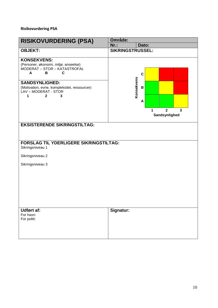## **Risikovurdering PSA**

| <b>RISIKOVURDERING (PSA)</b>                                                                                                                                                                           | Område:                                                |
|--------------------------------------------------------------------------------------------------------------------------------------------------------------------------------------------------------|--------------------------------------------------------|
|                                                                                                                                                                                                        | $Nr$ :<br>Dato:                                        |
| <b>OBJEKT:</b>                                                                                                                                                                                         | <b>SIKRINGSTRUSSEL:</b>                                |
| <b>KONSEKVENS:</b><br>(Personer, økonomi, miljø, anseelse)<br>MODERAT - STOR - KATASTROFAL<br>A<br>В<br>C<br><b>SANDSYNLIGHED:</b><br>(Motivation, evne, kompleksitet, ressourcer)<br>LAV-MODERAT-STOR | $\mathbf c$<br>Konsekvens<br>B                         |
| $\mathbf{2}$<br>3<br>1                                                                                                                                                                                 | A                                                      |
|                                                                                                                                                                                                        | $\overline{2}$<br>$\overline{3}$<br>1<br>Sandsynlighed |
| <b>EKSISTERENDE SIKRINGSTILTAG:</b>                                                                                                                                                                    |                                                        |
| <b>FORSLAG TIL YDERLIGERE SIKRINGSTILTAG:</b><br>Sikringsniveau 1                                                                                                                                      |                                                        |
| Sikringsniveau 2                                                                                                                                                                                       |                                                        |
| Sikringsniveau 3                                                                                                                                                                                       |                                                        |
|                                                                                                                                                                                                        |                                                        |
| <b>Udført af:</b><br>For havn:<br>For politi:                                                                                                                                                          | Signatur:                                              |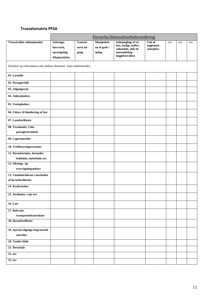## <span id="page-10-0"></span>**Trusselsmatrix PFSA**

|                                                                    | Havnefacilitetssårbarhedsvurdering |           |              |                                              |                     |            |            |            |  |  |
|--------------------------------------------------------------------|------------------------------------|-----------|--------------|----------------------------------------------|---------------------|------------|------------|------------|--|--|
| Trussel (ikke udtømmende)                                          | Sabotage,                          | Uautori-  | Manipulati-  | Indsmugling af vå-                           | Tab af<br>nøglemed- | <b>OSV</b> | <b>OSV</b> | <b>OSV</b> |  |  |
|                                                                    | hærværk,                           | seret ad- | on af gods / | ben, farlige stoffer,<br>våbendele, dele til | arbejdere           |            |            |            |  |  |
|                                                                    | sprængning,                        | gang      | oplag        | masseødelæg-<br>læggelsesvåben               |                     |            |            |            |  |  |
|                                                                    | ildspåsættelse                     |           |              |                                              |                     |            |            |            |  |  |
| Ejendom og infstratukrut samt sårbare elementer (ikke udtømmende): |                                    |           |              |                                              |                     |            |            |            |  |  |
| 01. Lastskib                                                       |                                    |           |              |                                              |                     |            |            |            |  |  |
| 02. Passagerskib                                                   |                                    |           |              |                                              |                     |            |            |            |  |  |
| 03. Adgangsveje                                                    |                                    |           |              |                                              |                     |            |            |            |  |  |
| 04. Ankerpladser,                                                  |                                    |           |              |                                              |                     |            |            |            |  |  |
| 05. Ventepladser,                                                  |                                    |           |              |                                              |                     |            |            |            |  |  |
| 06. Udstyr til håndtering af last                                  |                                    |           |              |                                              |                     |            |            |            |  |  |
| 07. Lastefaciliteter                                               |                                    |           |              |                                              |                     |            |            |            |  |  |
| 08. Terminaler, f.eks.                                             |                                    |           |              |                                              |                     |            |            |            |  |  |
| passagerterminal                                                   |                                    |           |              |                                              |                     |            |            |            |  |  |
| 09. Lagerområder                                                   |                                    |           |              |                                              |                     |            |            |            |  |  |
| 10. Trafikstyringssystemer                                         |                                    |           |              |                                              |                     |            |            |            |  |  |
| 11. Havnefartøjer, herunder                                        |                                    |           |              |                                              |                     |            |            |            |  |  |
| lodsbåde, slæbebåde osv.                                           |                                    |           |              |                                              |                     |            |            |            |  |  |
| 12. Sikrings- og<br>overvågningsudstyr                             |                                    |           |              |                                              |                     |            |            |            |  |  |
| 13. Vandområderne i nærheden                                       |                                    |           |              |                                              |                     |            |            |            |  |  |
| af havnefaciliteten                                                |                                    |           |              |                                              |                     |            |            |            |  |  |
| 14. Kraftværker                                                    |                                    |           |              |                                              |                     |            |            |            |  |  |
| 15. Jernbaner, veje osv.                                           |                                    |           |              |                                              |                     |            |            |            |  |  |
| <b>16.</b> Last                                                    |                                    |           |              |                                              |                     |            |            |            |  |  |
| 17. Relevant                                                       |                                    |           |              |                                              |                     |            |            |            |  |  |
| ${\bf transport}$ infrastruktur                                    |                                    |           |              |                                              |                     |            |            |            |  |  |
| 18. Havnefacilitetet                                               |                                    |           |              |                                              |                     |            |            |            |  |  |
| 19. Special adgangs-begrænsede<br>områder                          |                                    |           |              |                                              |                     |            |            |            |  |  |
| 20. Tender både                                                    |                                    |           |              |                                              |                     |            |            |            |  |  |
| 21. Personale                                                      |                                    |           |              |                                              |                     |            |            |            |  |  |
| 22. osv                                                            |                                    |           |              |                                              |                     |            |            |            |  |  |
| 23. osv                                                            |                                    |           |              |                                              |                     |            |            |            |  |  |
|                                                                    |                                    |           |              |                                              |                     |            |            |            |  |  |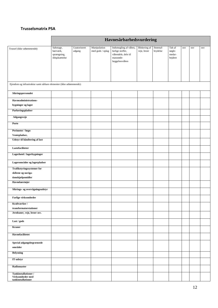## **Trusselsmatrix PSA**

|                                                                    | Havnesårbarhedsvurdering                               |                        |                                                |                                                                                                 |                             |                      |                                       |              |              |            |
|--------------------------------------------------------------------|--------------------------------------------------------|------------------------|------------------------------------------------|-------------------------------------------------------------------------------------------------|-----------------------------|----------------------|---------------------------------------|--------------|--------------|------------|
| Trussel (ikke udtømmende)                                          | Sabotage,<br>hærværk,<br>sprængning,<br>ildspåsættelse | Uautoriseret<br>adgang | Manipulation<br>$\rm{med}$ gods / $\rm{oplag}$ | Indsmugling af våben,<br>farlige stoffer,<br>våbendele, dele til<br>masseøde-<br>læggelsesvåben | Blokering af<br>veje, broer | Strømaf-<br>brydelse | Tab af<br>nøgle-<br>medar-<br>bejdere | $_{\rm OSV}$ | $_{\rm OSV}$ | <b>OSV</b> |
|                                                                    |                                                        |                        |                                                |                                                                                                 |                             |                      |                                       |              |              |            |
| Ejendom og infrastruktur samt sårbare elementer (ikke udtømmende): |                                                        |                        |                                                |                                                                                                 |                             |                      |                                       |              |              |            |
| Sikringspersonalet                                                 |                                                        |                        |                                                |                                                                                                 |                             |                      |                                       |              |              |            |
| Havneadministrations-                                              |                                                        |                        |                                                |                                                                                                 |                             |                      |                                       |              |              |            |
| bygninger og lager                                                 |                                                        |                        |                                                |                                                                                                 |                             |                      |                                       |              |              |            |
| Parkeringspladser                                                  |                                                        |                        |                                                |                                                                                                 |                             |                      |                                       |              |              |            |
| Adgangsveje                                                        |                                                        |                        |                                                |                                                                                                 |                             |                      |                                       |              |              |            |
| Porte                                                              |                                                        |                        |                                                |                                                                                                 |                             |                      |                                       |              |              |            |
| Perimeter / hegn                                                   |                                                        |                        |                                                |                                                                                                 |                             |                      |                                       |              |              |            |
| Ventepladser,                                                      |                                                        |                        |                                                |                                                                                                 |                             |                      |                                       |              |              |            |
| Udstyr til håndtering af last                                      |                                                        |                        |                                                |                                                                                                 |                             |                      |                                       |              |              |            |
| Lastefaciliteter                                                   |                                                        |                        |                                                |                                                                                                 |                             |                      |                                       |              |              |            |
| Lagerhotel / lagerbygninger                                        |                                                        |                        |                                                |                                                                                                 |                             |                      |                                       |              |              |            |
| Lagerområder og lagerpladser                                       |                                                        |                        |                                                |                                                                                                 |                             |                      |                                       |              |              |            |
| <b>Trafikstyringssystemer for</b>                                  |                                                        |                        |                                                |                                                                                                 |                             |                      |                                       |              |              |            |
| skibene og naviga-                                                 |                                                        |                        |                                                |                                                                                                 |                             |                      |                                       |              |              |            |
| $tionshjælpemidler$<br>Havnekøretøjer                              |                                                        |                        |                                                |                                                                                                 |                             |                      |                                       |              |              |            |
|                                                                    |                                                        |                        |                                                |                                                                                                 |                             |                      |                                       |              |              |            |
| Sikrings- og overvågningsudstyr                                    |                                                        |                        |                                                |                                                                                                 |                             |                      |                                       |              |              |            |
| Farlige virksomheder                                               |                                                        |                        |                                                |                                                                                                 |                             |                      |                                       |              |              |            |
| Kraftværker /<br>transformatorstationer                            |                                                        |                        |                                                |                                                                                                 |                             |                      |                                       |              |              |            |
| Jernbaner, veje, broer osv.                                        |                                                        |                        |                                                |                                                                                                 |                             |                      |                                       |              |              |            |
| Last / gods                                                        |                                                        |                        |                                                |                                                                                                 |                             |                      |                                       |              |              |            |
| <b>Kraner</b>                                                      |                                                        |                        |                                                |                                                                                                 |                             |                      |                                       |              |              |            |
| Havnefacilitetet                                                   |                                                        |                        |                                                |                                                                                                 |                             |                      |                                       |              |              |            |
|                                                                    |                                                        |                        |                                                |                                                                                                 |                             |                      |                                       |              |              |            |
| Special adgangsbegrænsede<br>områder                               |                                                        |                        |                                                |                                                                                                 |                             |                      |                                       |              |              |            |
| <b>Belysning</b>                                                   |                                                        |                        |                                                |                                                                                                 |                             |                      |                                       |              |              |            |
| <b>IT-udstyr</b>                                                   |                                                        |                        |                                                |                                                                                                 |                             |                      |                                       |              |              |            |
| Radiomaster                                                        |                                                        |                        |                                                |                                                                                                 |                             |                      |                                       |              |              |            |
| Tankinstallationer /<br>Virksomheder med<br>tankinstallationer     |                                                        |                        |                                                |                                                                                                 |                             |                      |                                       |              |              |            |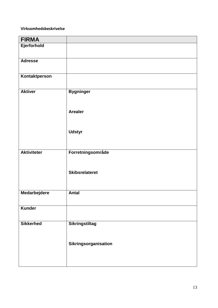## **Virksomhedsbeskrivelse**

| <b>FIRMA</b>       |                       |
|--------------------|-----------------------|
| Ejerforhold        |                       |
| <b>Adresse</b>     |                       |
| Kontaktperson      |                       |
| <b>Aktiver</b>     | <b>Bygninger</b>      |
|                    | <b>Arealer</b>        |
|                    | <b>Udstyr</b>         |
| <b>Aktiviteter</b> | Forretningsområde     |
|                    | <b>Skibsrelateret</b> |
| Medarbejdere       | <b>Antal</b>          |
| Kunder             |                       |
| <b>Sikkerhed</b>   | <b>Sikringstiltag</b> |
|                    | Sikringsorganisation  |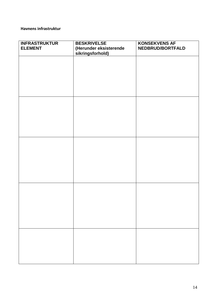## **Havnens infrastruktur**

| <b>INFRASTRUKTUR</b><br><b>ELEMENT</b> | <b>BESKRIVELSE</b><br>(Herunder eksisterende<br>sikringsforhold) | <b>KONSEKVENS AF</b><br>NEDBRUD/BORTFALD |
|----------------------------------------|------------------------------------------------------------------|------------------------------------------|
|                                        |                                                                  |                                          |
|                                        |                                                                  |                                          |
|                                        |                                                                  |                                          |
|                                        |                                                                  |                                          |
|                                        |                                                                  |                                          |
|                                        |                                                                  |                                          |
|                                        |                                                                  |                                          |
|                                        |                                                                  |                                          |
|                                        |                                                                  |                                          |
|                                        |                                                                  |                                          |
|                                        |                                                                  |                                          |
|                                        |                                                                  |                                          |
|                                        |                                                                  |                                          |
|                                        |                                                                  |                                          |
|                                        |                                                                  |                                          |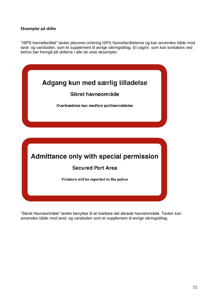## **Eksempler på skilte**

"ISPS-havnefacilitet" tavlen placeres omkring ISPS havnefaciliteterne og kan anvendes både mod land- og vandsiden, som et supplement til øvrige sikringstiltag. Et vagtnr. som kan kontaktes ved behov bør fremgå på skiltene i alle de viste eksempler.



"Sikret Havneområde" tavlen benyttes til at markere det sikrede havneområde. Tavlen kan anvendes både mod land- og vandsiden som et supplement til øvrige sikringstiltag.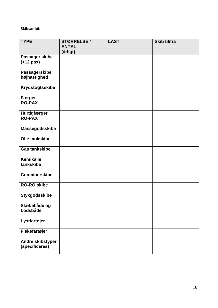## **Skibsanløb**

| <b>TYPE</b>                        | STØRRELSE/               | <b>LAST</b> | Skib til/fra |
|------------------------------------|--------------------------|-------------|--------------|
|                                    | <b>ANTAL</b><br>(årligt) |             |              |
| Passager skibe                     |                          |             |              |
| $($ >12 pax $)$                    |                          |             |              |
| Passagerskibe,                     |                          |             |              |
| højhastighed                       |                          |             |              |
| <b>Krydstogtsskibe</b>             |                          |             |              |
| Færger                             |                          |             |              |
| <b>RO-PAX</b>                      |                          |             |              |
| Hurtigfærger<br><b>RO-PAX</b>      |                          |             |              |
|                                    |                          |             |              |
| Massegodsskibe                     |                          |             |              |
| Olie tankskibe                     |                          |             |              |
| <b>Gas tankskibe</b>               |                          |             |              |
| <b>Kemikalie</b>                   |                          |             |              |
| tankskibe                          |                          |             |              |
| <b>Containerskibe</b>              |                          |             |              |
| <b>RO-RO skibe</b>                 |                          |             |              |
| <b>Stykgodsskibe</b>               |                          |             |              |
| Slæbebåde og<br>Lodsbåde           |                          |             |              |
|                                    |                          |             |              |
| Lystfartøjer                       |                          |             |              |
| Fiskefartøjer                      |                          |             |              |
| Andre skibstyper<br>(specificeres) |                          |             |              |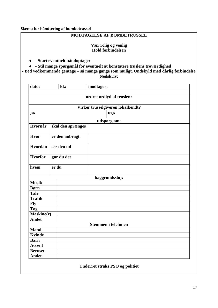#### **Skema for håndtering af bombetrussel**

## **MODTAGELSE AF BOMBETRUSSEL**

## **Vær rolig og venlig Hold forbindelsen**

**- Start eventuelt båndoptager**

**- Stil mange spørgsmål for eventuelt at konstatere truslens troværdighed**

**- Bed vedkommende gentage – så mange gange som muligt. Undskyld med dårlig forbindelse Nedskriv:**

| dato:          |       | $k$ .:            | modtager:                              |
|----------------|-------|-------------------|----------------------------------------|
|                |       |                   | ordret ordlyd af truslen:              |
|                |       |                   |                                        |
|                |       |                   | Virker trusselgiveren lokalkendt?      |
| ja:            |       |                   | nej:                                   |
|                |       |                   | udspørg om:                            |
| Hvornår        |       | skal den sprænges |                                        |
|                |       |                   |                                        |
| Hvor           |       | er den anbragt    |                                        |
|                |       |                   |                                        |
| <b>Hvordan</b> |       | ser den ud        |                                        |
| <b>Hvorfor</b> |       | gør du det        |                                        |
|                |       |                   |                                        |
| hvem           | er du |                   |                                        |
|                |       |                   |                                        |
|                |       |                   | baggrundsstøj:                         |
| <b>Musik</b>   |       |                   |                                        |
| <b>Børn</b>    |       |                   |                                        |
| <b>Tale</b>    |       |                   |                                        |
| <b>Trafik</b>  |       |                   |                                        |
| <b>Fly</b>     |       |                   |                                        |
| <b>Tog</b>     |       |                   |                                        |
| Maskine(r)     |       |                   |                                        |
| <b>Andet</b>   |       |                   |                                        |
|                |       |                   | Stemmen i telefonen                    |
| <b>Mand</b>    |       |                   |                                        |
| <b>Kvinde</b>  |       |                   |                                        |
| <b>Barn</b>    |       |                   |                                        |
| <b>Accent</b>  |       |                   |                                        |
| <b>Beruset</b> |       |                   |                                        |
| <b>Andet</b>   |       |                   |                                        |
|                |       |                   | <b>Underret straks PSO og politiet</b> |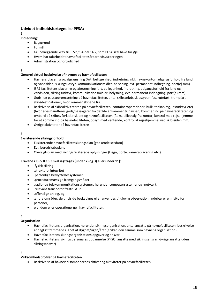## **Udvidet indholdsfortegnelse PFSA:**

#### **1**

- **Indledning:**
	- Bagggrund
	- Formål
	- Grundlæggende krav til PFSP jf. A-del 14.2, som PFSA skal have for øje.
	- Hvem har udarbejdet havnefacilitetssårbarhedsvurderingen
	- Administration og fortrolighed

## **2**

#### **Generel aktuel beskrivelse af havnen og havnefaciliteten**

- Havnens placering og afgrænsning (Art, beliggenhed, indretning inkl. havnekontor, adgangsforhold fra land og vandsiden, sikringsudstyr, kommunikationsmidler, belysning, evt. permanent indhegning, port(e) mm)
- ISPS-facilitetens placering og afgrænsning (art, beliggenhed, indretning, adgangsforhold fra land og vandsiden, sikringsudstyr, kommunikationsmidler, belysning, evt. permanent indhegning, port(e) mm)
- Gods- og passageromsætning på havnefaciliteten, antal skibsanløb, skibstyper, fast rutefart, trampfart, skibsdestinationer, hvor kommer skibene fra.
- Beskrivelse af skibsaktiviteterne på havnefaciliteten (containeroperationer, bulk, tankanlæg, lastudstyr etc) (hvorledes håndteres gods/passagerer fra det/de ankommer til havnen, kommer ind på havnefaciliteten og ombord på skibet, forlader skibet og havnefaciliteten (f.eks. billetsalg fra kontor, kontrol med rejsehjemmel for at komme ind på havnefaciliteten, opsyn med ventende, kontrol af rejsehjemmel ved skibssiden mm).
- Øvrige aktiviteter på havnefaciliteten

#### **3**

#### **Eksisterende sikringsforhold**

- Eksisterende havnefacilitetssikringsplan (godkendelsesdato)
- Evt. beredskabsplaner
- Oversigtsplan med sikringsrelaterede oplysninger (Hegn, porte, kameraplacering etc.)

#### **Kravene i ISPS B 15.3 skal iagttages (under 2) og 3) eller under 11):**

- fysisk sikring
- .strukturel integritet
- .personlige beskyttelsessystemer
- .proceduremæssige fremgangsmåder
- .radio- og telekommunikationssystemer, herunder computersystemer og -netværk
- relevant transportinfrastruktur
- .offentlige anlæg, og
- .andre områder, der, hvis de beskadiges eller anvendes til ulovlig observation, indebærer en risiko for personer,
- ejendom eller operationerne i havnefaciliteten.

#### **4**

#### **Organisation**

- Havnefacilitetens organisation, herunder sikringsorganisation, antal ansatte på havnefaciliteten, beskrivelse af dagligt fremmøde i løbet af døgnet/ugen/året (er/kan den samme som havnens organisation)
- Havnefacilitetens sikringsorganisations opgaver og ansvar
- Havnefacilitetens sikringspersonales uddannelse (PFSO, ansatte med sikringsansvar, øvrige ansatte uden sikringsansvar)

#### **5**

#### **Virksomhedsprofiler på havnefaciliteten**

Beskrivelse af havnevirksomhedernes aktiver og aktiviteter på havnefaciliteten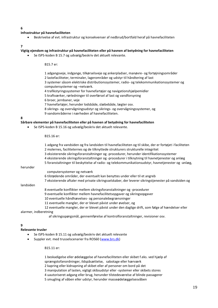#### **6**

#### **Infrastruktur på havnefaciliteten**

Beskrivelse af evt. infrastruktur og konsekvenser af nedbrud/bortfald heraf på havnefaciliteten

#### **7**

#### **Vigtig ejendom og infrastruktur på havnefaciliteten eller på havnen af betydning for havnefaciliteten**

Se ISPS-koden B 15.7 og udvælg/beskriv det aktuelt relevante.

B15.7 er:

1 adgangsveje, indgange, tilkørselsveje og ankerpladser, manøvre- og fortøjningsområder 2 lastefaciliteter, terminaler, lagerområder og udstyr til håndtering af last

3 systemer såsom elektriske distributionssystemer, radio- og telekommunikationssystemer og computersystemer og –netværk.

4 trafikstyringssystemer for havnefartøjer og navigationshjælpemidler

5 kraftværker, rørledninger til overførsel af last og vandforsyning

- 6 broer, jernbaner, veje
- 7 havnefartøjer, herunder lodsbåde, slæbebåde, lægter osv.
- 8 sikrings- og overvågningsudstyr og sikrings- og overvågningssystemer, og 9 vandområderne i nærheden af havnefaciliteten.

**8**

#### **Sårbare elementer på havnefaciliteten eller på havnen af betydning for havnefaciliteten**

Se ISPS-koden B 15.16 og udvælg/beskriv det aktuelt relevante.

B15.16 er:

|                       | 1 adgang fra vandsiden og fra landsiden til havnefaciliteten og til skibe, der er fortøjet i faciliteten |
|-----------------------|----------------------------------------------------------------------------------------------------------|
|                       | 2 molernes, faciliteternes og de tilknyttede strukturers strukturelle integritet                         |
|                       | 3 eksisterende sikringsforanstaltninger og -procedurer, herunder identifikationssystemer                 |
|                       | 4 eksisterende sikringsforanstaltninger og -procedurer i tilknytning til havnetjenester og anlæg         |
|                       | 5 foranstaltninger til beskyttelse af radio- og telekommunikationsudstyr, havnetjenester og -anlæg,      |
| herunder              |                                                                                                          |
|                       | computersystemer og netværk                                                                              |
|                       | 6 tilstødende områder, der eventuelt kan benyttes under eller til et angreb                              |
|                       | 7 eksisterende aftaler med private sikringsselskaber, der leverer sikringstjenester på vandsiden og      |
| landsiden             |                                                                                                          |
|                       | 8 eventuelle konflikter mellem sikringsforanstaltninger og -procedurer                                   |
|                       | 9 eventuelle konflikter mellem havnefacilitetsopgaver og sikringsopgaver                                 |
|                       | 10 eventuelle håndhævelses- og personalebegrænsninger                                                    |
|                       | 11 eventuelle mangler, der er blevet påvist under øvelser, og                                            |
|                       | 12 eventuelle mangler, der er blevet påvist under den daglige drift, som følge af hændelser eller        |
| alarmer, indberetning |                                                                                                          |

af sikringsspørgsmål, gennemførelse af kontrolforanstaltninger, revisioner osv.

#### **9**

#### **Relevante trusler**

- Se ISPS-koden B 15.11 og udvælg/beskriv det aktuelt relevante
- Suppler evt. med trusselscenarier fra ROS60 [\(www.brs.dk\)](http://www.brs.dk/)

B15.11 er:

1 beskadigelse eller ødelæggelse af havnefaciliteten eller skibet f.eks. ved hjælp af sprængstofanordninger, ildspåsættelse, sabotage eller hærværk 2 kapring eller kidnapning af skibet eller af personer om bord på det 3 manipulation af lasten, vigtigt skibsudstyr eller -systemer eller skibets stores 4 uautoriseret adgang eller brug, herunder tilstedeværelse af blinde passagerer 5 smugling af våben eller udstyr, herunder masseødelæggelsesvåben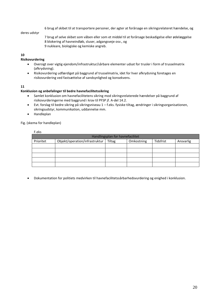6 brug af skibet til at transportere personer, der agter at forårsage en sikringsrelateret hændelse, og

#### deres udstyr

7 brug af selve skibet som våben eller som et middel til at forårsage beskadigelse eller ødelæggelse 8 blokering af havneindløb, sluser, adgangsveje osv., og 9 nukleare, biologiske og kemiske angreb.

#### **10**

#### **Risikovurdering**

- Oversigt over vigtig ejendom/infrastruktur/sårbare elementer udsat for trusler i form af trusselmatrix (afkrydsning).
- Risikovurdering udfærdiget på baggrund af trusselmatrix, idet for hver afkrydsning foretages en risikovurdering ved fastsættelse af sandsynlighed og konsekvens.

#### **11**

#### **Konklusion og anbefalinger til bedre havnefacilitetssikring**

- Samlet konklusion om havnefacilitetens sikring mod sikringsrelaterede hændelser på baggrund af risikovurderingerne med baggrund i krav til PFSP jf. A-del 14.2.
- Evt. forslag til bedre sikring på sikringsniveau 1 f.eks. fysiske tiltag, ændringer i sikringsorganisationen, sikringsudstyr, kommunikation, uddannelse mm.
- Handleplan

#### Fig. (skema for handleplan)

| F.eks                            |                                |               |            |           |           |  |
|----------------------------------|--------------------------------|---------------|------------|-----------|-----------|--|
| Handlingsplan for havnefacilitet |                                |               |            |           |           |  |
| Prioritet                        | Objekt/operation/infrastruktur | <b>Tiltag</b> | Omkostning | Tidsfrist | Ansvarlig |  |
|                                  |                                |               |            |           |           |  |
|                                  |                                |               |            |           |           |  |
|                                  |                                |               |            |           |           |  |
|                                  |                                |               |            |           |           |  |
|                                  |                                |               |            |           |           |  |

Dokumentation for politiets medvirken til havnefacilitetssårbarhedsvurdering og enighed i konklusion.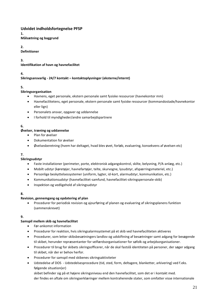#### **Udvidet indholdsfortegnelse PFSP 1.**

**Målsætning og baggrund**

## **2.**

**Definitioner**

**3.**

## **Identifikation af havn og havnefacilitet**

## **4.**

## **Sikringsansvarlig - 24/7 kontakt – kontaktoplysninger (eksterne/internt)**

**5.**

## **Sikringsorganisation**

- Havnens, eget personale, ekstern personale samt fysiske ressourcer (havnekontor mm)
- Havnefacilitetens, eget personale, ekstern personale samt fysiske ressourcer (kommandostade/havnekontor eller lign)
- Personalets ansvar, opgaver og uddannelse
- I forhold til myndigheder/andre samarbejdspartnere

## **6.**

## **Øvelser, træning og uddannelse**

- Plan for øvelser
- Dokumentation for øvelser
- Øvelsesberetning (hvem har deltaget, hvad blev øvet, forløb, evaluering, konsekvens af øvelsen etc)

#### **7. Sikringsudstyr**

- Faste installationer (perimeter, porte, elektronisk adgangskontrol, skilte, belysning, P/A-anlæg, etc.)
- Mobilt udstyr (køretøjer, havnefartøjer, telte, skurvogne, lysudstyr, afspærringsmateriel, etc.)
- Personlige beskyttelsessystemer (uniform, lygter, id-kort, alarmudstyr, kommunikation, etc.)
- Kommunikationsudstyr (havnefacilitet-samfund, havnefacilitet-sikringspersonale-skib)
- Inspektion og vedligehold af sikringsudstyr

## **8.**

## **Revision, gennemgang og opdatering af plan**

 Procedurer for periodisk revision og ajourføring af planen og evaluering af sikringsplanens funktion (sammenskrevet)

## **9.**

## **Samspil mellem skib og havnefacilitet**

- Før-ankomst information
- Procedurer for reaktion, hvis sikringsalarmsystemet på et skib ved havnefaciliteten aktiveres
- Procedurer, som letter skibsbesætningers landlov og udskiftning af besætninger samt adgang for besøgende til skibet, herunder repræsentanter for velfærdsorganisationer for søfolk og arbejdsorganisationer.
- Procedurer til brug for skibets sikringsofficerer, når de skal fastslå identiteten på personer, der søger adgang til skibet, når der er behov herfor.
- Procedurer for samspil med skibenes sikringsaktiviteter
- Udstedelse af DOS Udstedelsesprocedure (tid, sted, form, deltagere, blanketter, arkivering) ved f.eks. følgende situation(er)

skibet befinder sig på et højere sikringsniveau end den havnefacilitet, som det er i kontakt med. der findes en aftale om sikringserklæringer mellem kontraherende stater, som omfatter visse internationale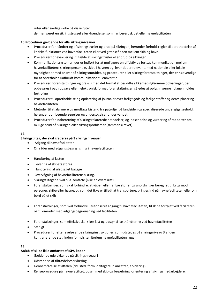ruter eller særlige skibe på disse ruter

der har været en sikringstrussel eller -hændelse, som har berørt skibet eller havnefaciliteten

#### **10.Procedurer gældende for alle sikringsniveauer**

- Procedurer for håndtering af sikringstrusler og brud på sikringen, herunder forholdsregler til opretholdelse af kritiske funktioner ved havnefaciliteten eller ved grænsefladen mellem skib og havn.
- Procedurer for evakuering i tilfælde af sikringstrusler eller brud på sikringen
- Kommunikationssystemer, der er indført for at muliggøre en effektiv og fortsat kommunikation mellem havnefacilitetens sikringspersonale, skibe i havnen og, hvor det er relevant, med nationale eller lokale myndigheder med ansvar på sikringsområdet, og procedurer eller sikringsforanstaltninger, der er nødvendige for at opretholde uafbrudt kommunikation til enhver tid
- Procedurer, foranstaltninger og praksis med det formål at beskytte sikkerhedsfølsomme oplysninger, der opbevares i papirudgave eller i elektronisk format foranstaltninger, således at oplysningerne i planen holdes fortrolige
- Procedurer til opretholdelse og opdatering af journaler over farligt gods og farlige stoffer og deres placering i havnefaciliteten
- Metoder til at alarmere og modtage bistand fra patruljer på landsiden og specialiserede undersøgelseshold, herunder bombeundersøgelser og undersøgelser under vandet
- Procedurer for indberetning af sikringsrelaterede hændelser, og indsendelse og vurdering af rapporter om mulige brud på sikringen eller sikringsproblemer (sammenskrevet)

#### **12.**

#### **Sikringstiltag, der skal graderes på 3 sikringsniveauer**

- Adgang til havnefaciliteten
- Områder med adgangsbegrænsning i havnefaciliteten
- Håndtering af lasten
- Levering af skibets stores
- Håndtering af uledsaget bagage
- Overvågning af havnefacilitetens sikring.
- Sikringstiltagene skal bl.a. omfatte (ikke en overskrift)
- Foranstaltninger, som skal forhindre, at våben eller farlige stoffer og anordninger beregnet til brug mod personer, skibe eller havne, og som det ikke er tilladt at transportere, bringes ind på havnefaciliteten eller om bord på et skib
- Foranstaltninger, som skal forhindre uautoriseret adgang til havnefaciliteten, til skibe fortøjet ved faciliteten og til områder med adgangsbegrænsning ved faciliteten
- Foranstaltninger, som effektivt skal sikre last og udstyr til lasthåndtering ved havnefaciliteten
- Særligt
- Procedurer for efterlevelse af de sikringsinstruktioner, som udstedes på sikringsniveau 3 af den kontraherende stat, inden for hvis territorium havnefaciliteten ligger

#### **13.**

## **Anløb af skibe ikke omfattet af ISPS-koden**

- Gældende udelukkende på sikringsniveau 1
- Udstedelse af tiltrædelseserklæring
- Gennemførelse af aftalen (tid, sted, form, deltagere, blanketter, arkivering)
- Renseprocedure på havnefacilitet, opsyn med skib og besætning, orientering af sikringsmedarbejdere.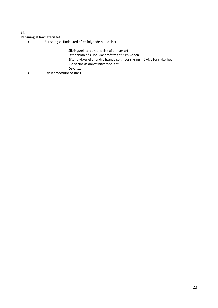## **14.**

## **Rensning af havnefacilitet**

Rensning vil finde sted efter følgende hændelser

Sikringsrelateret hændelse af enhver art

Efter anløb af skibe ikke omfattet af ISPS-koden

Efter ulykker eller andre hændelser, hvor sikring må vige for sikkerhed

Aktivering af on/off havnefacilitet

Osv……..

Renseprocedure består i…….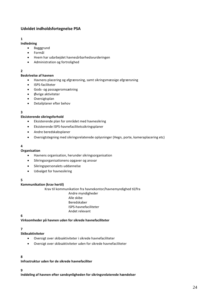## **Udvidet indholdsfortegnelse PSA**

## **1**

- **Indledning** • Bagggrund
	- Formål
	- Hvem har udarbejdet havnesårbarhedsvurderingen
	- Administration og fortrolighed

## **2**

## **Beskrivelse af havnen**

- Havnens placering og afgrænsning, samt sikringsmæssige afgrænsning
- ISPS-faciliteter
- Gods- og passageromsætning
- Øvrige aktiviteter
- Oversigtsplan
- Detailplaner efter behov

## **3**

## **Eksisterende sikringsforhold**

- Eksisterende plan for området med havnesikring
- Eksisterende ISPS-havnefacilitetssikringsplaner
- Andre beredskabsplaner
- Oversigtstegning med sikringsrelaterede oplysninger (Hegn, porte, kameraplacering etc)

## **4**

#### **Organisation**

- Havnens organisation, herunder sikringsorganisation
- Sikringsorganisationens opgaver og ansvar
- Sikringspersonalets uddannelse
- Udvalget for havnesikring

## **5**

## **Kommunikation (krav hertil)**

Krav til kommunikation fra havnekontor/havnemyndighed til/fra

Andre myndigheder Alle skibe Beredskaber

- ISPS-havnefaciliteter
- Andet relevant

## **6**

**Virksomheder på havnen uden for sikrede havnefaciliteter**

## **7**

## **Skibsaktiviteter**

- Oversigt over skibsaktiviteter i sikrede havnefaciliteter
- Oversigt over skibsaktiviteter uden for sikrede havnefaciliteter

## **8**

**Infrastruktur uden for de sikrede havnefaciliter**

## **9**

**Inddeling af havnen efter sandsynligheden for sikringsrelaterede hændelser**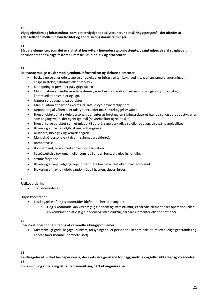#### **10**

**Vigtig ejendom og infrastruktur, som det er vigtigt at beskytte, herunder sikringsspørgsmål, der affødes af grænsefladen mellem havnefacilitet og andre sikringsforanstaltninger**

#### **11**

**Sårbare elementer, som det er vigtigt at beskytte, - herunder sæsonbestemte, , samt udpegelse af svagheder, herunder menneskelige faktorer i infrastruktur, politik og procedurer.**

## **12**

#### **Relevante mulige trusler mod ejendom, infrastruktur og sårbare elementer**

- Beskadigelse eller ødelæggelse af objekt eller infrastruktur f.eks. ved hjælp af sprængstofanordninger, ildspåsættelse, sabotage eller hærværk
- Kidnapning af personer på vigtigt objekt
- Manipulation af landbaserede systemer, som f.eks farvandsafmærkning, sikringsudstyr, it-udstyr, kommunikationsmidler og lign.
- Uautoriseret adgang på objekter
- Manipulation af havnens køretøjer, lastudstyr, havnefartøjer etc.
- Deponering af våben eller udstyr, herunder masseødelæggelsesvåben
- Brug af objekt til at skjule personer, der agter at foretage en sikringsrelateret hændelse, og deres udstyr, eller som adgangsvej til det egentlige mål (havnefacilitet og/eller skib).
- Brug af selve objektet som et middel til at forårsage beskadigelse eller ødelæggelse på havnefacilitet
- Blokering af havneindløb, sluser, adgangsveje
- Nukleare, biologisk og kemisk angreb
- Mangel på personale / tab af nøglemedarbejder(e).
- Bombetrussel.
- Bombemand, terror med konventionelle våben.
- Ildspåsættelse (pyromani eller som led i anden forsætlig ulovlig handling).
- Strømafbrydelse.
- Blokering af veje, adgangsveje, broer til fra havnefacilitet eller i havneområdet.
- Blokering af havneindløb, vandområde i havnen, sluser, broer.

## **13**

#### **Risikovurdering**

• Trafiklysmodellen

#### Højrisikoområder

- Fastlæggelse af højrisikoområder (definition herfor mangler)
	- o Højrisikoområde kan være vigtig ejendom og infrastruktur, et sårbart element eller operation, eller en kombination af vigtig ejendom og infrastruktur, sårbare elementer eller operationer.

#### **14**

## **Specifikationer for håndtering af velkendte sikringsproblemer**

 Mistænkeligt gods, bagage, bunkers, forsyninger eller personer, ukendte pakker (mistænkelige genstande) og kendte farer (bombe, bombetrussel).

**15**

**Fastlæggelse af hvilket havnepersonale, der skal være genstand for baggrundstjek og/eller sikkerhedsgodkendelse 16**

**Konklusion og anbefaling til bedre havnesikring på 3 sikringsniveauer**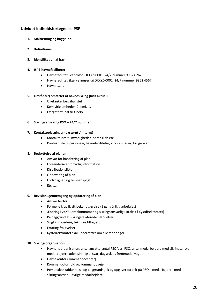## **Udvidet indholdsfortegnelse PSP**

- **1. Målsætning og baggrund**
- **2. Definitioner**
- **3. Identifikation af havn**

#### **4. ISPS-havnefaciliteter**

- Havnefacilitet Scancolor, DKXYZ-0001, 24/7 nummer 9962 6262
- Havnefacilitet Skærveknuserkaj DKXYZ-0002, 24/7 nummer 9962 4567
- Havne………

#### **5. Område(r) omfattet af havnesikring (hvis aktuel)**

- Olietankanlæg Shallstet
- Kemivirksomheden Chemi……
- Færgeterminal til Æbelø

#### **6. Sikringsansvarlig PSO – 24/7 nummer**

#### **7. Kontaktoplysninger (eksternt / internt)**

- Kontakteliste til myndigheder, beredskab etc
- Kontaktliste til personale, havnefaciliteter, virksomheder, brugere etc

#### **8. Beskyttelse af planen**

- Ansvar for håndtering af plan
- Forsendelse af fortrolig information
- Distributionsliste
- Opbevaring af plan
- Fortrolighed og tavshedspligt
- Etc……

#### **9. Revision, gennemgang og opdatering af plan**

- Ansvar herfor
- Formelle krav jf. dk bekendtgørelse (1 gang årligt anbefales)
- Ændring i 24/7 kontaktnummer og sikringsansvarlig (straks til Kystdirektoratet)
- På baggrund af sikringsrelaterede hændelser
- Svigt i procedure, tekniske tiltag etc.
- Erfaring fra øvelser
- Kystdirektoratet skal underrettes om alle ændringer

#### **10. Sikringsorganisation**

- Havnens organisation, antal ansatte, antal PSO/ass. PSO, antal medarbejdere med sikringsansvar, medarbejdere uden sikringsansvar, dagscyklus fremmøde, vagter mm.
- Havnekontor (kommandocenter)
- Kommandoforhold og kommandoveje
- Personalets uddannelse og baggrundstjek og opgaver fordelt på PSO medarbejdere med sikringsansvar – øvrige medarbejdere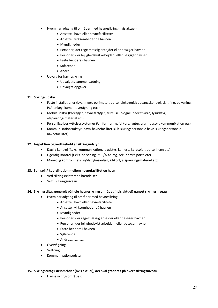- Hvem har adgang til områder med havnesikring (hvis aktuel)
	- Ansatte i havn eller havnefaciliteter
	- Ansatte i virksomheder på havnen
	- Myndigheder
	- Personer, der regelmæssig arbejder eller besøger havnen
	- Personer, der lejlighedsvist arbejder i eller besøger havnen
	- Faste beboere i havnen
	- Søfarende
	- Andre……………..
- Udvalg for havnesikring
	- Udvalgets sammensætning
	- Udvalget opgaver

#### **11. Sikringsudstyr**

- Faste installationer (bygninger, perimeter, porte, elektronisk adgangskontrol, skiltning, belysning, P/A-anlæg, kameraoverågning etc.)
- Mobilt udstyr (køretøjer, havnefartøjer, telte, skurvogne, bedriftværn, lysudstyr, afspærringsmateriel etc)
- Personlige beskyttelsessystemer (Uniformering, id-kort, lygter, alarmudstyr, kommunikation etc)
- Kommunikationsudstyr (havn-havnefacilitet-skib-sikringspersonale havn-sikringspersonale havnefacilitet)

#### **12. Inspektion og vedligehold af sikringsudstyr**

- Daglig kontrol (f.eks. kommunikation, it-udstyr, kamera, køretøjer, porte, hegn etc)
- Ugentlig kontrol (f.eks. belysning, it, P/A-anlæg, sekundære porte etc)
- Månedlig kontrol (f.eks. nødstrømsanlæg, id-kort, afspærringsmateriel etc)

#### **13. Samspil / koordination mellem havnefacilitet og havn**

- Ved sikringsrelaterede hændelser
- Skift i sikringsniveau

#### **14. Sikringstiltag generelt på hele havnesikringsområdet (hvis aktuel) uanset sikringsniveau**

- Hvem har adgang til områder med havnesikring
	- Ansatte i havn eller havnefaciliteter
	- Ansatte i virksomheder på havnen
	- Myndigheder
	- Personer, der regelmæssig arbejder eller besøger havnen
	- Personer, der lejlighedsvist arbejder i eller besøger havnen
	- Faste beboere i havnen
	- Søfarende
	- Andre……………..
- Overvågning
- Skiltning
- Kommunikationsudstyr
- **15. Sikringstiltag i delområder (hvis aktuel), der skal graderes på hvert sikringsniveau**
	- Havnesikringsområde x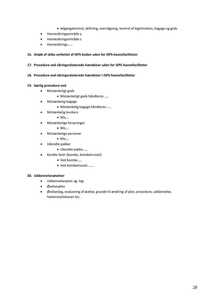- Adgangskontrol, skiltning, overvågning, kontrol af legitimation, bagage og gods
- Havnesikringsområde y
- Havnesikringsområde z
- Havnesikrings……

#### **16. Anløb af skibe omfattet af ISPS-koden uden for ISPS-havnefaciliteter**

#### **17. Procedure ved sikringsrelaterede hændelser uden for ISPS-havnefaciliteter**

**18. Procedure ved sikringsrelaterede hændelser i ISPS-havnefaciliteter**

#### **19. Særlig procedure ved**

- Mistænkeligt gods
	- Mistænkeligt gods håndteres …..
- Mistænkelig bagage
	- Mistænkelig bagage håndteres …..
- Mistænkelig bunkers
	- Mis….
- Mistænkelige forsyninger
	- Mis….
- Mistænkelige personer
	- Mis….
- Ukendte pakker
	- Ukendte pakke……
- Kendte farer (bombe, bombetrussel)
	- Ved bombe……
	- Ved bombetrussel……..

#### **20. Uddannelsesøvelser**

- Uddannelsesplan og -log
- Øvelsesplan
- Øvelseslog, evaluering af øvelse, grunde til ændring af plan, procedure, uddannelse, fasteinstallationer etc.